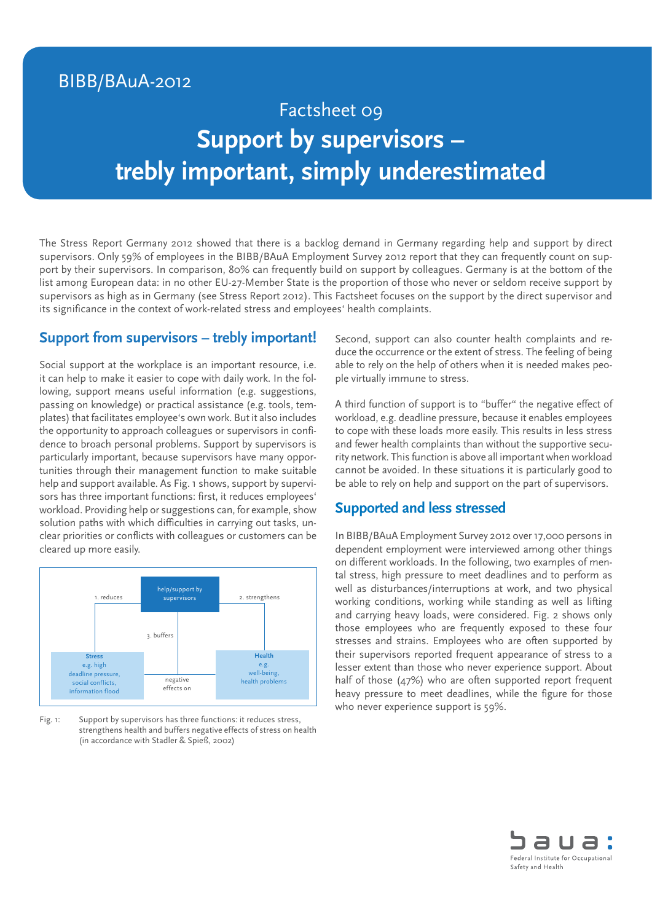# BIBB/BAuA-2012

# Factsheet 09 **Support by supervisors – trebly important, simply underestimated**

The Stress Report Germany 2012 showed that there is a backlog demand in Germany regarding help and support by direct supervisors. Only 59% of employees in the BIBB/BAuA Employment Survey 2012 report that they can frequently count on support by their supervisors. In comparison, 80% can frequently build on support by colleagues. Germany is at the bottom of the list among European data: in no other EU-27-Member State is the proportion of those who never or seldom receive support by supervisors as high as in Germany (see Stress Report 2012). This Factsheet focuses on the support by the direct supervisor and its significance in the context of work-related stress and employees' health complaints.

# **Support from supervisors – trebly important!**

Social support at the workplace is an important resource, i.e. it can help to make it easier to cope with daily work. In the following, support means useful information (e.g. suggestions, passing on knowledge) or practical assistance (e.g. tools, templates) that facilitates employee's own work. But it also includes the opportunity to approach colleagues or supervisors in confidence to broach personal problems. Support by supervisors is particularly important, because supervisors have many opportunities through their management function to make suitable help and support available. As Fig. 1 shows, support by supervisors has three important functions: first, it reduces employees' workload. Providing help or suggestions can, for example, show solution paths with which difficulties in carrying out tasks, unclear priorities or conflicts with colleagues or customers can be cleared up more easily.



Fig. 1: Support by supervisors has three functions: it reduces stress, strengthens health and buffers negative effects of stress on health (in accordance with Stadler & Spieß, 2002)

Second, support can also counter health complaints and reduce the occurrence or the extent of stress. The feeling of being able to rely on the help of others when it is needed makes people virtually immune to stress.

A third function of support is to "buffer" the negative effect of workload, e.g. deadline pressure, because it enables employees to cope with these loads more easily. This results in less stress and fewer health complaints than without the supportive security network. This function is above all important when workload cannot be avoided. In these situations it is particularly good to be able to rely on help and support on the part of supervisors.

#### **Supported and less stressed**

In BIBB/BAuA Employment Survey 2012 over 17,000 persons in dependent employment were interviewed among other things on different workloads. In the following, two examples of mental stress, high pressure to meet deadlines and to perform as well as disturbances/interruptions at work, and two physical working conditions, working while standing as well as lifting and carrying heavy loads, were considered. Fig. 2 shows only those employees who are frequently exposed to these four stresses and strains. Employees who are often supported by their supervisors reported frequent appearance of stress to a lesser extent than those who never experience support. About half of those (47%) who are often supported report frequent heavy pressure to meet deadlines, while the figure for those who never experience support is 59%.